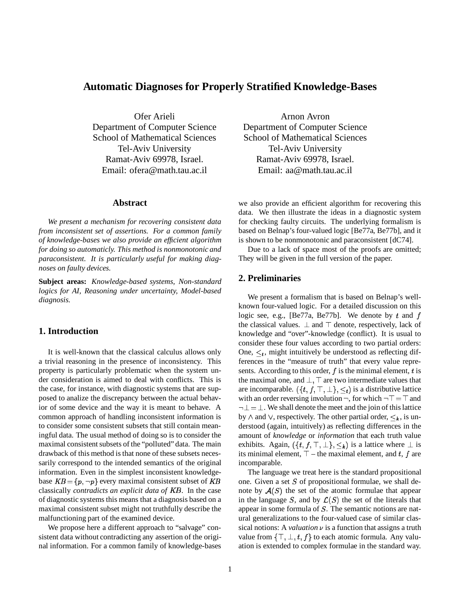# **Automatic Diagnoses for Properly Stratified Knowledge-Bases**

Ofer Arieli Department of Computer Science School of Mathematical Sciences Tel-Aviv University Ramat-Aviv 69978, Israel. Email: ofera@math.tau.ac.il

### **Abstract**

*We present a mechanism for recovering consistent data from inconsistent set of assertions. For a common family of knowledge-bases we also provide an efficient algorithm for doing so automaticly. This method is nonmonotonic and paraconsistent. It is particularly useful for making diagnoses on faulty devices.*

**Subject areas:** *Knowledge-based systems, Non-standard logics for AI, Reasoning under uncertainty, Model-based diagnosis.*

## **1. Introduction**

It is well-known that the classical calculus allows only a trivial reasoning in the presence of inconsistency. This property is particularly problematic when the system under consideration is aimed to deal with conflicts. This is the case, for instance, with diagnostic systems that are supposed to analize the discrepancy between the actual behavior of some device and the way it is meant to behave. A common approach of handling inconsistent information is to consider some consistent subsets that still contain meaningful data. The usual method of doing so is to consider the maximal consistent subsets of the "polluted" data. The main drawback of this method is that none of these subsets necessarily correspond to the intended semantics of the original information. Even in the simplest inconsistent knowledgebase  $KB = \{p, \neg p\}$  every maximal consistent subset of KB classically *contradicts an explicit data of* KB. In the case of diagnostic systems this means that a diagnosis based on a maximal consistent subset might not truthfully describe the malfunctioning part of the examined device.

We propose here a different approach to "salvage" consistent data without contradicting any assertion of the original information. For a common family of knowledge-bases

Arnon Avron Department of Computer Science School of Mathematical Sciences Tel-Aviv University Ramat-Aviv 69978, Israel. Email: aa@math.tau.ac.il

we also provide an efficient algorithm for recovering this data. We then illustrate the ideas in a diagnostic system for checking faulty circuits. The underlying formalism is based on Belnap's four-valued logic [Be77a, Be77b], and it is shown to be nonmonotonic and paraconsistent [dC74].

Due to a lack of space most of the proofs are omitted; They will be given in the full version of the paper.

## **2. Preliminaries**

We present a formalism that is based on Belnap's wellknown four-valued logic. For a detailed discussion on this logic see, e.g., [Be77a, Be77b]. We denote by t and f the classical values.  $\perp$  and  $\top$  denote, respectively, lack of knowledge and "over"-knowledge (conflict). It is usual to consider these four values according to two partial orders: One,  $\leq_t$ , might intuitively be understood as reflecting differences in the "measure of truth" that every value represents. According to this order,  $f$  is the minimal element,  $t$  is the maximal one, and  $\perp$ ,  $\top$  are two intermediate values that are incomparable.  $(\{t, f, \top, \bot\}, \leq_t)$  is a distributive lattice with an order reversing involution  $\neg$ , for which  $\neg$   $\top = \top$  and  $\neg \bot = \bot$ . We shall denote the meet and the join of this lattice by  $\wedge$  and  $\vee$ , respectively. The other partial order,  $\leq_k$ , is understood (again, intuitively) as reflecting differences in the amount of *knowledge* or *information* that each truth value exhibits. Again,  $(\{t, f, \top, \bot\}, \leq_k)$  is a lattice where  $\bot$  is its minimal element,  $\top$  – the maximal element, and t, f are incomparable.

The language we treat here is the standard propositional one. Given a set  $S$  of propositional formulae, we shall denote by  $A(S)$  the set of the atomic formulae that appear in the language S, and by  $\mathcal{L}(S)$  the set of the literals that appear in some formula of S. The semantic notions are natural generalizations to the four-valued case of similar classical notions: A *valuation*  $\nu$  is a function that assigns a truth value from  $\{\top, \bot, t, f\}$  to each atomic formula. Any valuation is extended to complex formulae in the standard way.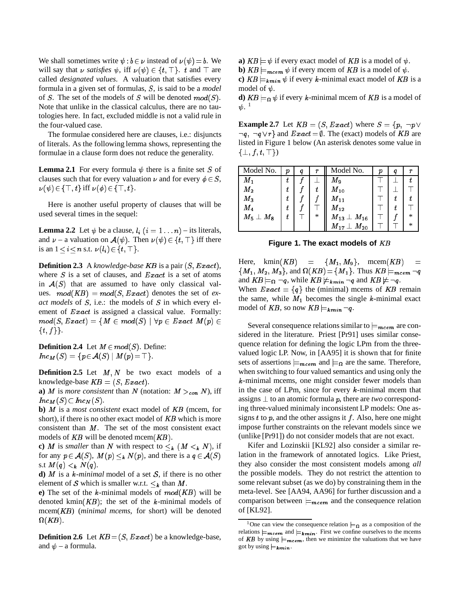We shall sometimes write  $\psi : b \in \nu$  instead of  $\nu(\psi) = b$ . We will say that  $\nu$  *satisfies*  $\psi$ , iff  $\nu(\psi) \in \{t, \top\}$ . t and  $\top$  are called *designated values*. A valuation that satisfies every formula in a given set of formulas, S, is said to be a *model* of S. The set of the models of S will be denoted  $mod(S)$ . Note that unlike in the classical calculus, there are no tautologies here. In fact, excluded middle is not a valid rule in the four-valued case.

The formulae considered here are clauses, i.e.: disjuncts of literals. As the following lemma shows, representing the formulae in a clause form does not reduce the generality.

**Lemma 2.1** For every formula  $\psi$  there is a finite set S of clauses such that for every valuation  $\nu$  and for every  $\phi \in S$ ,  $\nu(\psi) \in {\{\top, t\}}$  iff  $\nu(\phi) \in {\{\top, t\}}$ .

Here is another useful property of clauses that will be used several times in the sequel:

**Lemma 2.2** Let  $\psi$  be a clause,  $l_i$   $(i = 1 ... n)$  – its literals, and  $\nu$  – a valuation on  $\mathcal{A}(\psi)$ . Then  $\nu(\psi) \in \{t, \top\}$  iff there is an  $1 \leq i \leq n$  s.t.  $\nu(l_i) \in \{t, \top\}.$ 

**Definition 2.3** A *knowledge-base* KB is a pair (S; Exact), where  $S$  is a set of clauses, and  $Exact$  is a set of atoms in  $A(S)$  that are assumed to have only classical values.  $mod(KB) = mod(S, Exact)$  denotes the set of *exact models* of S, i.e.: the models of S in which every element of Exact is assigned a classical value. Formally:  $mod(S, Exact) = \{M \in mod(S) \mid \forall p \in Exact \ M(p) \in$  $\{t, f\}$ .

**Definition 2.4** Let  $M \in mod(S)$ . Define:  $Inc_M(S) = \{ p \in A(S) \mid M(p) = \top \}.$ 

**Definition 2.5** Let  $M, N$  be two exact models of a knowledge-base  $KB = (S, Exact).$ 

**a**) *M* is *more consistent* than *N* (notation:  $M >_{con} N$ ), iff  $Inc_M(S) \subset Inc_N(S).$ 

**b)** <sup>M</sup> is a *most consistent* exact model of KB (mcem, for short), if there is no other exact model of KB which is more consistent than  $M$ . The set of the most consistent exact models of  $KB$  will be denoted mcem $(KB)$ .

**c**) M is *smaller* than N with respect to  $\leq_k (M \leq_k N)$ , if for any  $p \in \mathcal{A}(S)$ ,  $M(p) \leq_k N(p)$ , and there is a  $q \in \mathcal{A}(S)$ s.t  $M(q) <_{k} N(q)$ .

**d)** <sup>M</sup> is a <sup>k</sup>*-minimal* model of a set <sup>S</sup>, if there is no other element of S which is smaller w.r.t.  $\leq_k$  than M.

**e**) The set of the k-minimal models of  $mod(KB)$  will be denoted kmin $(KB)$ ; the set of the k-minimal models of mcem(KB) (*minimal mcems*, for short) will be denoted  $\Omega(KB).$ 

**Definition 2.6** Let  $KB = (S, Exact)$  be a knowledge-base, and  $\psi$  – a formula.

**a**)  $KB \models \psi$  if every exact model of KB is a model of  $\psi$ .

**b**)  $KB \models_{\text{meem}} \psi$  if every mcem of KB is a model of  $\psi$ .

**c**)  $KB \models_{kmin} \psi$  if every k-minimal exact model of KB is a model of  $\psi$ .

**d**)  $KB \models_{\Omega} \psi$  if every k-minimal mcem of KB is a model of  $\psi.$   $^1$ 

**Example 2.7** Let  $KB = (S, Exact)$  where  $S = \{p, \neg p \lor \neg p \}$  $\lnot q$ ,  $\lnot q \lor r$  and  $Exact = \emptyset$ . The (exact) models of KB are listed in Figure 1 below (An asterisk denotes some value in  $\{\perp, f, t, \top\}$ 

| Model No.          | р | q | r | Model No.                                  | D | q | r      |
|--------------------|---|---|---|--------------------------------------------|---|---|--------|
| $M_1$              | t |   |   | $M_9$                                      |   |   |        |
| $M_{\rm 2}$        | t |   | t | $M_{\rm 10}$                               |   |   |        |
| $M_3$              | t |   |   | $M_{11}$                                   |   |   |        |
| $\boldsymbol{M_4}$ | t |   |   | $M_{12}$                                   |   |   |        |
| $M_5 \perp M_8$    | t |   | * | $\overline{M}_{13}\perp \overline{M}_{16}$ |   |   | $\ast$ |
|                    |   |   |   | $M_{17}\perp M_{20}$                       |   |   | $\ast$ |

**Figure 1. The exact models of** KB

Here, kmin(KB) =  $\{M_1, M_9\}$ , mcem(KB)  ${M_1, M_2, M_3}$ , and  $\Omega(KB) = {M_1}$ . Thus  $KB \models_{mcem} \neg q$ and  $KB \models_{\Omega} \neg q$ , while  $KB \not\models k_{min} \neg q$  and  $KB \not\models \neg q$ . When  $Exact = \{q\}$  the (minimal) mcems of KB remain the same, while  $M_1$  becomes the single k-minimal exact model of KB, so now  $KB \models_{kmin} \neg q$ .

Several consequence relations similar to  $\models_{\textit{meem}}$  are considered in the literature. Priest [Pr91] uses similar consequence relation for defining the logic LPm from the threevalued logic LP. Now, in [AA95] it is shown that for finite sets of assertions  $\models_{mcem}$  and  $\models_{\Omega}$  are the same. Therefore, when switching to four valued semantics and using only the <sup>k</sup>-minimal mcems, one might consider fewer models than in the case of LPm, since for every  $k$ -minimal mcem that assigns  $\perp$  to an atomic formula p, there are *two* corresponding three-valued minimaly inconsistent LP models: One assigns  $t$  to  $p$ , and the other assigns it  $f$ . Also, here one might impose further constraints on the relevant models since we (unlike [Pr91]) do not consider models that are not exact.

Kifer and Lozinskii [KL92] also consider a similar relation in the framework of annotated logics. Like Priest, they also consider the most consistent models among *all* the possible models. They do not restrict the attention to some relevant subset (as we do) by constraining them in the meta-level. See [AA94, AA96] for further discussion and a comparison between  $\equiv_{\text{meem}}$  and the consequence relation of [KL92].

<sup>&</sup>lt;sup>1</sup>One can view the consequence relation  $\models_{\Omega}$  as a composition of the relations  $\models_{\textit{mean}}$  and  $\models_{\textit{kmin}}$ . First we confine ourselves to the mcems of KB by using  $\equiv_{\boldsymbol{m} \boldsymbol{c} \boldsymbol{e} \boldsymbol{m}}$ , then we minimize the valuations that we have got by using  $\models_{kmin}$ .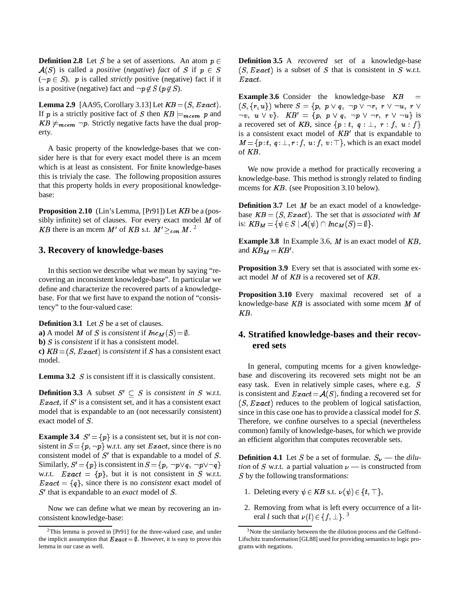**Definition 2.8** Let S be a set of assertions. An atom  $p \in$  $A(S)$  is called a *positive* (*negative*) *fact* of S if  $p \in S$  $(\neg p \in S)$ . p is called *strictly* positive (negative) fact if it is a positive (negative) fact and  $\neg p \notin S$  ( $p \notin S$ ).

**Lemma 2.9** [AA95, Corollary 3.13] Let  $KB = (S, Exact)$ . If p is a strictly positive fact of S then  $KB \models_{\text{meem}} p$  and  $KB \not\models_{meem} \neg p$ . Strictly negative facts have the dual property.

A basic property of the knowledge-bases that we consider here is that for every exact model there is an mcem which is at least as consistent. For finite knowledge-bases this is trivialy the case. The following proposition assures that this property holds in *every* propositional knowledgebase:

**Proposition 2.10** (Lin's Lemma, [Pr91]) Let KB be a (possibly infinite) set of clauses. For every exact model  $M$  of KB there is an mcem M' of KB s.t.  $M' \geq_{con} M$ .<sup>2</sup>

### **3. Recovery of knowledge-bases**

In this section we describe what we mean by saying "recovering an inconsistent knowledge-base". In particular we define and characterize the recovered parts of a knowledgebase. For that we first have to expand the notion of "consistency" to the four-valued case:

**Definition 3.1** Let S be a set of clauses. **a**) A model M of S is *consistent* if  $Inc<sub>M</sub>(S) = \emptyset$ . **b)** S is *consistent* if it has a consistent model. **c**)  $KB = (S, Exact)$  is *consistent* if S has a consistent exact model.

Lemma 3.2 S is consistent iff it is classically consistent.

**Definition 3.3** A subset  $S' \subseteq S$  is *consistent in* S w.r.t.  $Exact$ , if  $S'$  is a consistent set, and it has a consistent exact model that is expandable to an (not necessarily consistent) exact model of S.

**Example 3.4**  $S' = \{p\}$  is a consistent set, but it is *not* consistent in  $S = \{p, \neg p\}$  w.r.t. any set Exact, since there is no consistent model of  $S'$  that is expandable to a model of  $S$ . Similarly,  $S' = \{p\}$  is consistent in  $S = \{p, \neg p \lor q, \neg p \lor \neg q\}$ w.r.t.  $Exact = \{p\}$ , but it is not consistent in S w.r.t.  $Exact = \{q\}$ , since there is no *consistent* exact model of S' that is expandable to an *exact* model of S.

Now we can define what we mean by recovering an inconsistent knowledge-base:

**Definition 3.5** A *recovered set* of a knowledge-base  $(S, Exact)$  is a subset of S that is consistent in S w.r.t.  $Exact.$ 

**Example 3.6** Consider the knowledge-base KB  $(S, \{r, u\})$  where  $S = \{p, p \lor q, \neg p \lor \neg r, r \lor \neg u, r \lor \neg r\}$  $\neg v, u \vee v$ .  $KB' = \{p, p \vee q, \neg p \vee \neg r, r \vee \neg u\}$  is a recovered set of KB, since  $\{p : t, q : \bot, r : f, u : f\}$ is a consistent exact model of  $KB'$  that is expandable to  $M = \{p : t, q : \perp, r : f, u : f, v : \top\}$ , which is an exact model of KB.

We now provide a method for practically recovering a knowledge-base. This method is strongly related to finding mcems for KB. (see Proposition 3.10 below).

**Definition 3.7** Let M be an exact model of a knowledgebase  $KB = (S, Exact)$ . The set that is *associated with* M is:  $KB_M = \{ \psi \in S \mid \mathcal{A}(\psi) \cap Inc_M(S) = \emptyset \}.$ 

**Example 3.8** In Example 3.6, <sup>M</sup> is an exact model of KB, and  $KB_M = KB'$ .

**Proposition 3.9** Every set that is associated with some exact model <sup>M</sup> of KB is a recovered set of KB.

**Proposition 3.10** Every maximal recovered set of a knowledge-base  $KB$  is associated with some mcem M of KB.

# **4. Stratified knowledge-bases and their recovered sets**

In general, computing mcems for a given knowledgebase and discovering its recovered sets might not be an easy task. Even in relatively simple cases, where e.g. S is consistent and  $Exact = \mathcal{A}(S)$ , finding a recovered set for  $(S, Exact)$  reduces to the problem of logical satisfaction, since in this case one has to provide a classical model for S. Therefore, we confine ourselves to a special (nevertheless common) family of knowledge-bases, for which we provide an efficient algorithm that computes recoverable sets.

**Definition 4.1** Let S be a set of formulae.  $S_{\nu}$  — the *dilution* of S w.r.t. a partial valuation  $\nu$  — is constructed from S by the following transformations:

- 1. Deleting every  $\psi \in KB$  s.t.  $\nu(\psi) \in \{t, \top\},$
- 2. Removing from what is left every occurrence of a literal *l* such that  $\nu(l) \in \{f, \perp\}$ .<sup>3</sup>

 $2$ This lemma is proved in [Pr91] for the three-valued case, and under the implicit assumption that  $\boldsymbol{Exact} = \emptyset$ . However, it is easy to prove this lemma in our case as well.

<sup>&</sup>lt;sup>3</sup>Note the similarity between the the dilution process and the Gelfond– Lifschitz transformation [GL88] used for providing semantics to logic programs with negations.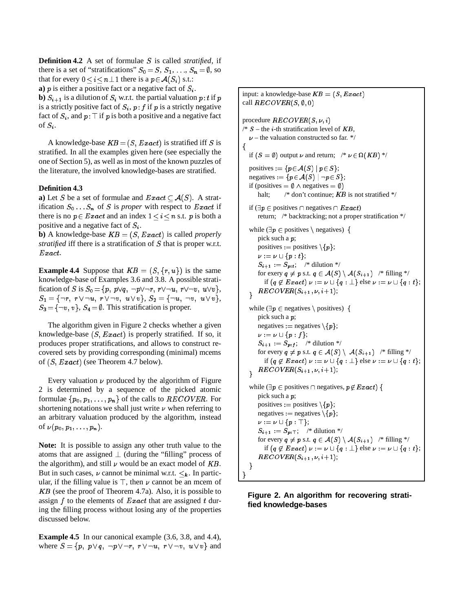**Definition 4.2** A set of formulae S is called *stratified*, if there is a set of "stratifications"  $S_0 = S, S_1, \ldots, S_n = \emptyset$ , so that for every  $0 \le i \le n \perp 1$  there is a  $p \in \mathcal{A}(S_i)$  s.t.:

**a**)  $p$  is either a positive fact or a negative fact of  $S_i$ .

**b**)  $S_{i+1}$  is a dilution of  $S_i$  w.r.t. the partial valuation p: t if p is a strictly positive fact of  $S_i$ ,  $p: f$  if p is a strictly negative fact of  $S_i$ , and  $p: \top$  if p is both a positive and a negative fact of  $S_i$ .

A knowledge-base  $KB = (S, Exact)$  is stratified iff S is stratified. In all the examples given here (see especially the one of Section 5), as well as in most of the known puzzles of the literature, the involved knowledge-bases are stratified.

#### **Definition 4.3**

**a**) Let S be a set of formulae and  $Exact \subset \mathcal{A}(S)$ . A stratification  $S_0 \ldots S_n$  of S is *proper* with respect to *Exact* if there is no  $p \in Exact$  and an index  $1 \le i \le n$  s.t. p is both a positive and a negative fact of  $S_i$ .

**b**) A knowledge-base  $KB = (S, Exact)$  is called *properly stratified* iff there is a stratification of S that is proper w.r.t. Exact.

**Example 4.4** Suppose that  $KB = (S, \{r, u\})$  is the same knowledge-base of Examples 3.6 and 3.8. A possible stratification of S is  $S_0 = \{p, p\lor q, \neg p\lor \neg r, r\lor \neg u, r\lor \neg v, u\lor v\},\$  $S_1 = \{\neg r, r \vee \neg u, r \vee \neg v, u \vee v\}, S_2 = \{\neg u, \neg v, u \vee v\},$  $S_3 = \{\neg v, v\}, S_4 = \emptyset$ . This stratification is proper.

The algorithm given in Figure 2 checks whether a given knowledge-base  $(S, Exact)$  is properly stratified. If so, it produces proper stratifications, and allows to construct recovered sets by providing corresponding (minimal) mcems of  $(S, Exact)$  (see Theorem 4.7 below).

Every valuation  $\nu$  produced by the algorithm of Figure 2 is determined by a sequence of the picked atomic formulae  $\{p_0, p_1, \ldots, p_n\}$  of the calls to  $RECOVER$ . For shortening notations we shall just write  $\nu$  when referring to an arbitrary valuation produced by the algorithm, instead of  $\nu(p_0, p_1, \ldots, p_n)$ .

**Note:** It is possible to assign any other truth value to the atoms that are assigned  $\perp$  (during the "filling" process of the algorithm), and still  $\nu$  would be an exact model of KB. But in such cases,  $\nu$  cannot be minimal w.r.t.  $\leq_k$ . In particular, if the filling value is  $\top$ , then  $\nu$  cannot be an mcem of KB (see the proof of Theorem 4.7a). Also, it is possible to assign f to the elements of  $Exact$  that are assigned t during the filling process without losing any of the properties discussed below.

**Example 4.5** In our canonical example  $(3.6, 3.8, \text{ and } 4.4)$ , where  $S = \{p, p \lor q, \neg p \lor \neg r, r \lor \neg u, r \lor \neg v, u \lor v\}$  and

input: a knowledge-base  $KB = (S, Exact)$ call  $RECOVER(S, \emptyset, 0)$ procedure  $RECOVER(S, \nu, i)$ /\*  $S$  – the *i*-th stratification level of KB,  $\nu$  – the valuation constructed so far. \*/ <sup>f</sup> if  $(S = \emptyset)$  output  $\nu$  and return;  $\nu \in \Omega(KB)$  \*/ positives :=  $\{p \in \mathcal{A}(S) \mid p \in S\};$ negatives :=  $\{p \in \mathcal{A}(S) \mid \neg p \in S\};$ if (positives =  $\emptyset \wedge$  negatives =  $\emptyset$ ) halt;  $/* don't continue; KB$  is not stratified \*/ if  $(\exists p \in \text{positives} \cap \text{negative} \cap \text{Exact})$ return; /\* backtracking; not a proper stratification \*/ while ( $\exists p \in \text{positives} \setminus \text{ negatives}$ ) { pick such a <sup>p</sup>; positives := positives  $\setminus \{p\};$  $\nu := \nu \cup \{ p : t \};$  $S_{i+1} := S_{p:t}$ ; /\* dilution \*/ for exery  $q \neq p$  s.t.  $q \in \mathcal{A}(S) \setminus \mathcal{A}(S_{i+1})$  /\* filling \*/ if  $(q \notin Exact) \nu := \nu \cup \{q : \bot\}$  else  $\nu := \nu \cup \{q : t\};$  $RECOVER(S_{i+1}, \nu, i+1);$ <sup>g</sup> while ( $\exists p \in$  negatives) { pick such a <sup>p</sup>; negatives := negatives  $\{p\};$  $\nu := \nu \cup \{ p : f \};$  $S_{i+1} := S_{p:f}$ ; /\* dilution \*/ for every  $q \neq p$  s.t.  $q \in \mathcal{A}(S) \setminus \mathcal{A}(S_{i+1})$  /\* filling \*/ if  $(q \notin Exact) \nu := \nu \cup \{q : \bot\}$  else  $\nu := \nu \cup \{q : t\};$  $RECOVER(S_{i+1}, \nu, i+1);$  $\overline{ }$ while ( $\exists p \in$  positives  $\cap$  negatives,  $p \notin Exact$ ) { pick such a <sup>p</sup>; positives := positives  $\{p\};$ negatives := negatives  $\{p\};$  $\nu := \nu \cup \{p : \top\};$  $S_{i+1} := S_{p:\top}$ ; /\* dilution \*/ for every  $q \neq p$  s.t.  $q \in \mathcal{A}(S) \setminus \mathcal{A}(S_{i+1})$  /\* filling \*/ if  $(q \notin Exact) \nu := \nu \cup \{q : \bot\}$  else  $\nu := \nu \cup \{q : t\};$  $RECOVER(S_{i+1}, \nu, i+1);$  $\}$  $\mathcal{E}$ 

## **Figure 2. An algorithm for recovering stratified knowledge-bases**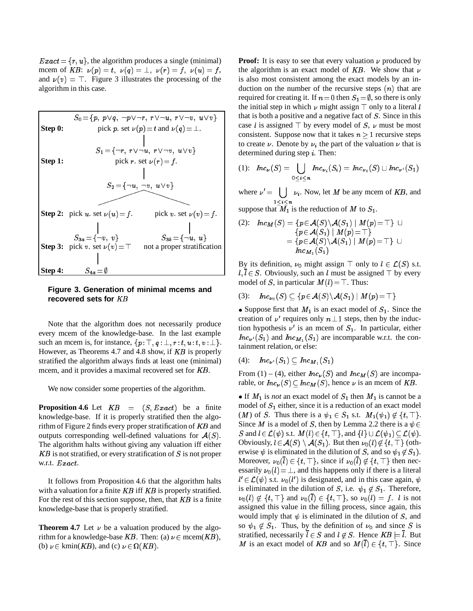$Exact = \{r, u\}$ , the algorithm produces a single (minimal) mcem of KB:  $\nu(p) = t$ ,  $\nu(q) = \perp$ ,  $\nu(r) = f$ ,  $\nu(u) = f$ , and  $v(v) = T$ . Figure 3 illustrates the processing of the algorithm in this case.



## **Figure 3. Generation of minimal mcems and recovered sets for** KB

Note that the algorithm does not necessarily produce every mcem of the knowledge-base. In the last example such an mcem is, for instance,  $\{p : \top, q : \bot, r : t, u : t, v : \bot\}.$ However, as Theorems 4.7 and 4.8 show, if KB is properly stratified the algorithm always finds at least one (minimal) mcem, and it provides a maximal recovered set for KB.

We now consider some properties of the algorithm.

**Proposition 4.6** Let  $KB = (S, Exact)$  be a finite knowledge-base. If it is properly stratified then the algorithm of Figure 2 finds every proper stratification of KB and outputs corresponding well-defined valuations for  $A(S)$ . The algorithm halts without giving any valuation iff either  $KB$  is not stratified, or every stratification of S is not proper w.r.t. Exact.

It follows from Proposition 4.6 that the algorithm halts with a valuation for a finite KB iff KB is properly stratified. For the rest of this section suppose, then, that  $KB$  is a finite knowledge-base that is properly stratified.

**Theorem 4.7** Let  $\nu$  be a valuation produced by the algorithm for a knowledge-base KB. Then: (a)  $\nu \in \text{meem}(KB)$ , (b)  $\nu \in \text{kmin}(KB)$ , and (c)  $\nu \in \Omega(KB)$ .

**Proof:** It is easy to see that every valuation  $\nu$  produced by the algorithm is an exact model of  $KB$ . We show that  $\nu$ is also most consistent among the exact models by an induction on the number of the recursive steps  $(n)$  that are required for creating it. If  $n = 0$  then  $S_1 = \emptyset$ , so there is only the initial step in which  $\nu$  might assign  $\top$  only to a literal l that is both a positive and a negative fact of S. Since in this case l is assigned  $\top$  by every model of S,  $\nu$  must be most consistent. Suppose now that it takes  $n > 1$  recursive steps to create  $\nu$ . Denote by  $\nu_i$  the part of the valuation  $\nu$  that is determined during step <sup>i</sup>. Then:

$$
(1): \ \ \textit{Inc}_{\nu}(S) = \bigcup_{0 \leq i \leq n} \textit{Inc}_{\nu_i}(S_i) = \textit{Inc}_{\nu_0}(S) \cup \textit{Inc}_{\nu'}(S_1)
$$

where  $\nu'$  =  $\sim$ - - - - - - $\nu_i$ . Now, let M be any mcem of KB, and suppose that  $M_1$  is the reduction of M to  $S_1$ .

(2): 
$$
Inc_M(S) = \{p \in \mathcal{A}(S) \setminus \mathcal{A}(S_1) \mid M(p) = \top\} \cup \{p \in \mathcal{A}(S_1) \mid M(p) = \top\} \\
= \{p \in \mathcal{A}(S) \setminus \mathcal{A}(S_1) \mid M(p) = \top\} \cup \text{Inc}_{M_1}(S_1)
$$

By its definition,  $\nu_0$  might assign  $\top$  only to  $l \in \mathcal{L}(S)$  s.t.  $l, \overline{l} \in S$ . Obviously, such an l must be assigned  $\top$  by every model of S, in particular  $M(l) = \top$ . Thus:

$$
(3)\colon\quad Inc_{\nu_0}(S)\subseteq \{p\!\in\! \mathcal{A}(S)\!\setminus\! \mathcal{A}(S_1)\mid M(p)\!=\!\top\}
$$

• Suppose first that  $M_1$  is an exact model of  $S_1$ . Since the creation of  $\nu'$  requires only  $n \perp 1$  steps, then by the induction hypothesis  $\nu'$  is an mcem of  $S_1$ . In particular, either  $Inc_{\nu'}(S_1)$  and  $Inc_{M_1}(S_1)$  are incomparable w.r.t. the containment relation, or else:

$$
(4): \quad Inc_{\nu'}(S_1) \subseteq Inc_{M_1}(S_1)
$$

From (1) – (4), either  $Inc<sub>\nu</sub>(S)$  and  $Inc<sub>M</sub>(S)$  are incomparable, or  $Inc_{\nu}(S) \subseteq Inc_M(S)$ , hence  $\nu$  is an mcem of KB.

If  $M_1$  is *not* an exact model of  $S_1$  then  $M_1$  is cannot be a model of  $S_1$  either, since it is a reduction of an exact model (*M*) of *S*. Thus there is a  $\psi_1 \in S_1$  s.t.  $M_1(\psi_1) \notin \{t, \top\}.$ Since *M* is a model of *S*, then by Lemma 2.2 there is a  $\psi \in$ S and  $l \in \mathcal{L}(\psi)$  s.t.  $M(l) \in \{t, \top\}$ , and  $\{l\} \cup \mathcal{L}(\psi_1) \subset \mathcal{L}(\psi)$ . Obviously,  $l \in \mathcal{A}(S) \setminus \mathcal{A}(S_1)$ . But then  $\nu_0(l) \notin \{t, \top\}$  (otherwise  $\psi$  is eliminated in the dilution of S, and so  $\psi_1 \notin S_1$ ). Moreover,  $\nu_0(\overline{l}) \in \{t, \top\}$ , since if  $\nu_0(\overline{l}) \notin \{t, \top\}$  then necessarily  $\nu_0(l) = \perp$ , and this happens only if there is a literal  $l' \in \mathcal{L}(\psi)$  s.t.  $\nu_0(l')$  is designated, and in this case again,  $\psi$ is eliminated in the dilution of S, i.e.  $\psi_1 \notin S_1$ . Therefore,  $\nu_0(l) \notin \{t, \top\}$  and  $\nu_0(\overline{l}) \in \{t, \top\}$ , so  $\nu_0(l) = f$ . l is not assigned this value in the filling process, since again, this would imply that  $\psi$  is eliminated in the dilution of S, and so  $\psi_1 \notin S_1$ . Thus, by the definition of  $\nu_0$  and since S is stratified, necessarily  $l \in S$  and  $l \notin S$ . Hence  $KB \models l$ . But M is an exact model of KB and so  $M(\overline{l}) \in \{t, \top\}$ . Since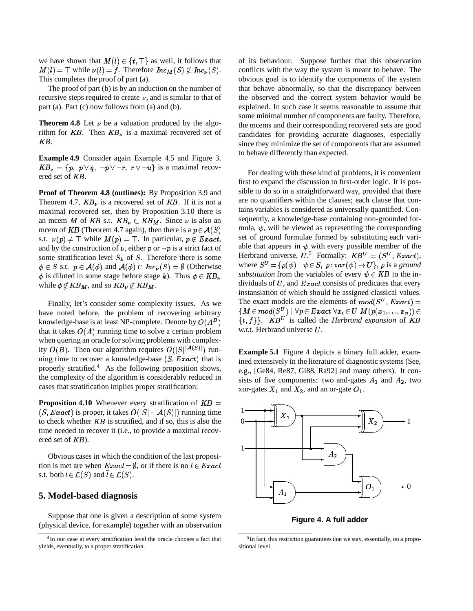we have shown that  $M(l) \in \{t, \top\}$  as well, it follows that  $M(l) = \top$  while  $\nu(l) = f$ . Therefore  $Inc_M(S) \not\subset Inc_{\nu}(S)$ . This completes the proof of part (a).

The proof of part (b) is by an induction on the number of recursive steps required to create  $\nu$ , and is similar to that of part (a). Part (c) now follows from (a) and (b).

**Theorem 4.8** Let  $\nu$  be a valuation produced by the algorithm for KB. Then  $KB<sub>\nu</sub>$  is a maximal recovered set of KB.

**Example 4.9** Consider again Example 4.5 and Figure 3.  $KB_{\nu} = \{p, p \lor q, \neg p \lor \neg r, r \lor \neg u\}$  is a maximal recovered set of KB.

**Proof of Theorem 4.8 (outlines):** By Proposition 3.9 and Theorem 4.7,  $KB_{\nu}$  is a recovered set of KB. If it is not a maximal recovered set, then by Proposition 3.10 there is an mcem M of KB s.t.  $KB_{\nu} \subset KB_M$ . Since  $\nu$  is also an mcem of KB (Theorem 4.7 again), then there is a  $p \in \mathcal{A}(S)$ s.t.  $\nu(p) \neq \top$  while  $M(p) = \top$ . In particular,  $p \notin Exact$ , and by the construction of  $\nu$ , either p or  $\neg p$  is a strict fact of some stratification level  $S_k$  of S. Therefore there is some  $\phi \in S$  s.t.  $p \in \mathcal{A}(\phi)$  and  $\mathcal{A}(\phi) \cap Inc_{\nu}(S) = \emptyset$  (Otherwise  $\phi$  is diluted in some stage before stage k). Thus  $\phi \in KB_{\nu}$ while  $\phi \notin KB_M$ , and so  $KB_{\nu} \not\subset KB_M$ .

Finally, let's consider some complexity issues. As we have noted before, the problem of recovering arbitrary knowledge-base is at least NP-complete. Denote by  $O(A^B)$ that it takes  $O(A)$  running time to solve a certain problem when quering an oracle for solving problems with complexity  $O(B)$ . Then our algorithm requires  $O(|S|^{|\mathcal{A}(S)|})$  running time to recover a knowledge-base  $(S, Exact)$  that is properly stratified.<sup>4</sup> As the following proposition shows, the complexity of the algorithm is considerably reduced in cases that stratification implies proper stratification:

**Proposition 4.10** Whenever every stratification of  $KB =$  $(S, Exact)$  is proper, it takes  $O(|S| \cdot |A(S)|)$  running time to check whether  $KB$  is stratified, and if so, this is also the time needed to recover it (i.e., to provide a maximal recovered set of KB).

Obvious cases in which the condition of the last proposition is met are when  $Exact = \emptyset$ , or if there is no  $l \in Exact$ s.t. both  $l \in \mathcal{L}(S)$  and  $\overline{l} \in \mathcal{L}(S)$ .

### **5. Model-based diagnosis**

Suppose that one is given a description of some system (physical device, for example) together with an observation of its behaviour. Suppose further that this observation conflicts with the way the system is meant to behave. The obvious goal is to identify the components of the system that behave abnormally, so that the discrepancy between the observed and the correct system behavior would be explained. In such case it seems reasonable to assume that some minimal number of components are faulty. Therefore, the mcems and their corresponding recovered sets are good candidates for providing accurate diagnoses, especially since they minimize the set of components that are assumed to behave differently than expected.

For dealing with these kind of problems, it is convenient first to expand the discussion to first-order logic. It is possible to do so in a straightforward way, provided that there are no quantifiers within the clauses; each clause that contains variables is considered as universally quantified. Consequently, a knowledge-base containing non-grounded formula,  $\psi$ , will be viewed as representing the corresponding set of ground formulae formed by substituting each variable that appears in  $\psi$  with every possible member of the Herbrand universe,  $U^5$  Formally:  $KB^U = (S^U, Exact),$ where  $S^U = {\rho(\psi) | \psi \in S, \rho : var(\psi) \to U}, \rho$  is a *ground substitution* from the variables of every  $\psi \in KB$  to the individuals of  $U$ , and  $Exact$  consists of predicates that every instansiation of which should be assigned classical values. The exact models are the elements of  $mod(S^U, Exact) =$  $\{M\in mod(S^U)\mid \forall p\in Exact\; \forall x_i\in U\; M(p(x_1,...,x_n))\in \}$  $\{t, f\}$ . KB<sup>U</sup> is called the *Herbrand expansion* of KB w.r.t. Herbrand universe  $U$ .

**Example 5.1** Figure 4 depicts a binary full adder, examined extensively in the literature of diagnostic systems (See, e.g., [Ge84, Re87, Gi88, Ra92] and many others). It consists of five components: two and-gates  $A_1$  and  $A_2$ , two xor-gates  $X_1$  and  $X_2$ , and an or-gate  $O_1$ .



**Figure 4. A full adder**

<sup>&</sup>lt;sup>4</sup>In our case at every stratification level the oracle chooses a fact that yields, eventually, to a proper stratification.

<sup>&</sup>lt;sup>5</sup>In fact, this restriction guarantees that we stay, essentially, on a propositional level.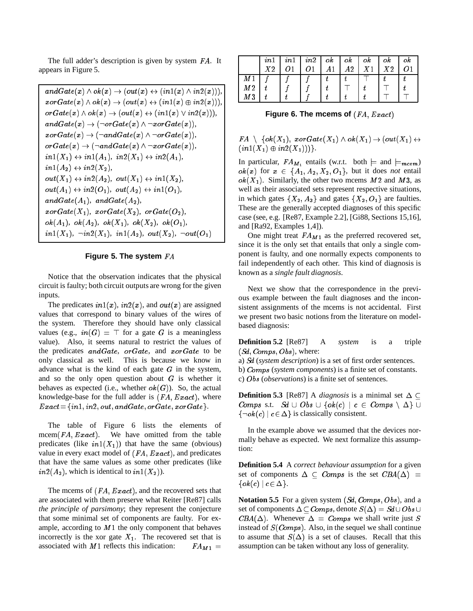The full adder's description is given by system FA. It appears in Figure 5.

$$
andGate(x) \wedge ok(x) \rightarrow (out(x) \leftrightarrow (in1(x) \wedge in2(x))),
$$
  
\n
$$
x \circ \text{Gate}(x) \wedge ok(x) \rightarrow (out(x) \leftrightarrow (in1(x) \oplus in2(x))),
$$
  
\n
$$
\text{orGate}(x) \wedge ok(x) \rightarrow (out(x) \leftrightarrow (in1(x) \vee in2(x))),
$$
  
\n
$$
andGate(x) \rightarrow (\neg \text{orGate}(x) \wedge \neg \text{orGate}(x)),
$$
  
\n
$$
x \circ \text{rGate}(x) \rightarrow (\neg \text{andGate}(x) \wedge \neg \text{orGate}(x)),
$$
  
\n
$$
\text{orGate}(x) \rightarrow (\neg \text{andGate}(x) \wedge \neg \text{orGate}(x)),
$$
  
\n
$$
in1(X_1) \leftrightarrow in1(A_1), in2(X_1) \leftrightarrow in2(A_1),
$$
  
\n
$$
in1(A_2) \leftrightarrow in2(X_2),
$$
  
\n
$$
\text{out}(X_1) \leftrightarrow in2(A_2), \text{out}(X_1) \leftrightarrow in1(X_2),
$$
  
\n
$$
\text{out}(A_1) \leftrightarrow in2(O_1), \text{out}(A_2) \leftrightarrow in1(O_1),
$$
  
\n
$$
\text{andGate}(A_1), \text{ andGate}(A_2),
$$
  
\n
$$
x \circ \text{Gate}(X_1), x \circ \text{rGate}(X_2), \text{ orGate}(O_2),
$$
  
\n
$$
\text{ok}(A_1), \text{ok}(A_2), \text{ok}(X_1), \text{ok}(X_2), \text{ok}(O_1),
$$
  
\n
$$
in1(X_1), \neg in2(X_1), in1(A_2), \text{out}(X_2), \neg \text{out}(O_1)
$$

#### **Figure 5. The system** FA

Notice that the observation indicates that the physical circuit is faulty; both circuit outputs are wrong for the given inputs.

The predicates  $in1(x)$ ,  $in2(x)$ , and  $out(x)$  are assigned values that correspond to binary values of the wires of the system. Therefore they should have only classical values (e.g.,  $in(G) = \top$  for a gate G is a meaningless value). Also, it seems natural to restrict the values of the predicates  $andGate$ ,  $orGate$ , and  $xorGate$  to be only classical as well. This is because we know in advance what is the kind of each gate  $G$  in the system, and so the only open question about  $G$  is whether it behaves as expected (i.e., whether  $ok(G)$ ). So, the actual knowledge-base for the full adder is  $(FA, Exact)$ , where  $Exact = \{in1, in2, out, and Gate, or Gate, x or Gate\}.$ 

The table of Figure 6 lists the elements of mcem( $FA, Exact$ ). We have omitted from the table predicates (like  $in1(X_1)$ ) that have the same (obvious) value in every exact model of  $(FA, Exact)$ , and predicates that have the same values as some other predicates (like  $in2(A_2)$ , which is identical to  $in1(X_2)$ ).

The mcems of  $(FA, Exact)$ , and the recovered sets that are associated with them preserve what Reiter [Re87] calls *the principle of parsimony*; they represent the conjecture that some minimal set of components are faulty. For example, according to  $M1$  the only component that behaves incorrectly is the xor gate  $X_1$ . The recovered set that is associated with M 1 reflects this indication:  $FA_{M1} =$ 

|                | $\ln 1$ | in1 | in2 | ok                 | ok | оk             | оk       | оk |
|----------------|---------|-----|-----|--------------------|----|----------------|----------|----|
|                | X2      |     |     | $\blacktriangle$ 1 | A2 | X <sub>1</sub> | $\chi_2$ |    |
| M <sub>1</sub> |         |     |     |                    |    |                |          |    |
| M <sub>2</sub> |         |     |     |                    |    |                |          |    |
| M3             |         |     |     |                    |    |                |          |    |

**Figure 6. The mcems of**  $(FA, Exact)$ 

 $FA \setminus \{ok(X_1),\ xorGate(X_1) \wedge ok(X_1) \rightarrow (out(X_1) \leftrightarrow$  $(in1(X_1) \oplus in2(X_1)))$ .

In particular,  $FA_{M_1}$  entails (w.r.t. both  $\models$  and  $\models_{mcem}$ )  $ok(x)$  for  $x \in \{A_1, A_2, X_2, O_1\}$ , but it does *not* entail  $ok(X_1)$ . Similarly, the other two mcems M2 and M3, as well as their associated sets represent respective situations, in which gates  $\{X_2, A_2\}$  and gates  $\{X_2, O_1\}$  are faulties. These are the generally accepted diagnoses of this specific case (see, e.g. [Re87, Example 2.2], [Gi88, Sections 15,16], and [Ra92, Examples 1,4]).

One might treat  $FA_{M1}$  as the preferred recovered set, since it is the only set that entails that only a single component is faulty, and one normally expects components to fail independently of each other. This kind of diagnosis is known as a *single fault diagnosis*.

Next we show that the correspondence in the previous example between the fault diagnoses and the inconsistent assignments of the mcems is not accidental. First we present two basic notions from the literature on modelbased diagnosis:

**Definition 5.2** [Re87] A *system* is a triple  $(Sd, Comps, Obs)$ , where:

a) Sd (*system description*) is a set of first order sentences.

b) Comps (*system components*) is a finite set of constants.

c) Obs (*observations*) is a finite set of sentences.

**Definition 5.3** [Re87] A *diagnosis* is a minimal set  $\Delta \subset$ Comps s.t. Sd  $\cup$  Obs  $\cup$  {ok(c) | c  $\in$  Comps  $\setminus \Delta$  }  $\cup$  $\{\neg \textit{ok}(c) \mid c \in \Delta\}$  is classically consistent.

In the example above we assumed that the devices normally behave as expected. We next formalize this assumption:

**Definition 5.4** A *correct behaviour assumption* for a given set of components  $\Delta \subset Comps$  is the set  $CBA(\Delta)$  =  $\{ok(c) \mid c \in \Delta\}.$ 

**Notation 5.5** For a given system (Sd, Comps, Obs), and a set of components  $\Delta \subset Comps$ , denote  $S(\Delta) = Sd \cup Obs \cup$  $CBA(\Delta)$ . Whenever  $\Delta = Comps$  we shall write just S instead of  $S(Comps)$ . Also, in the sequel we shall continue to assume that  $S(\Delta)$  is a set of clauses. Recall that this assumption can be taken without any loss of generality.